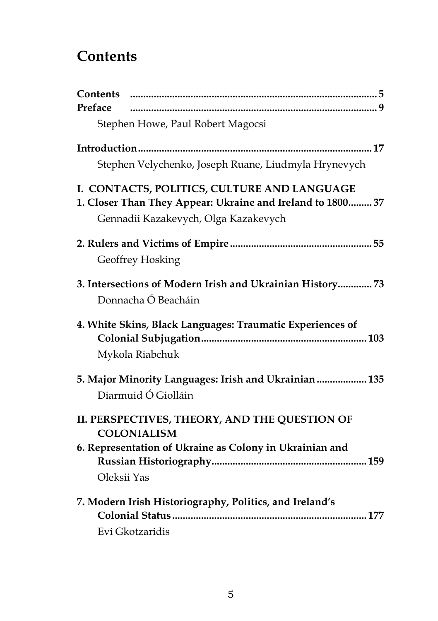## **Contents**

| Contents                                                   |
|------------------------------------------------------------|
| Preface                                                    |
| Stephen Howe, Paul Robert Magocsi                          |
|                                                            |
| Stephen Velychenko, Joseph Ruane, Liudmyla Hrynevych       |
| I. CONTACTS, POLITICS, CULTURE AND LANGUAGE                |
| 1. Closer Than They Appear: Ukraine and Ireland to 1800 37 |
| Gennadii Kazakevych, Olga Kazakevych                       |
|                                                            |
| Geoffrey Hosking                                           |
| 3. Intersections of Modern Irish and Ukrainian History 73  |
| Donnacha Ó Beacháin                                        |
| 4. White Skins, Black Languages: Traumatic Experiences of  |
|                                                            |
| Mykola Riabchuk                                            |
| 5. Major Minority Languages: Irish and Ukrainian  135      |
| Diarmuid Ó Giolláin                                        |
| II. PERSPECTIVES, THEORY, AND THE QUESTION OF              |
| <b>COLONIALISM</b>                                         |
| 6. Representation of Ukraine as Colony in Ukrainian and    |
|                                                            |
| Oleksii Yas                                                |
| 7. Modern Irish Historiography, Politics, and Ireland's    |
|                                                            |
| Evi Gkotzaridis                                            |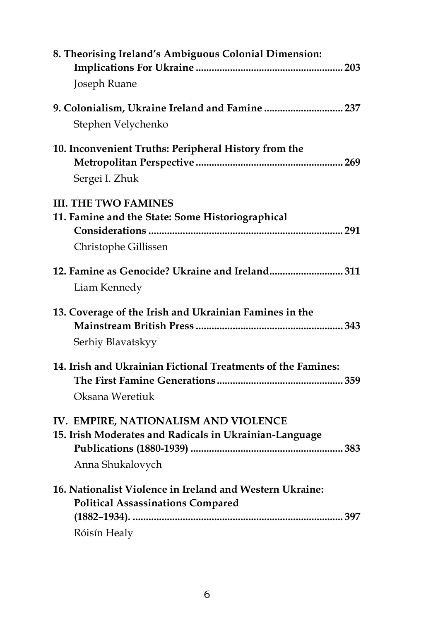| 8. Theorising Ireland's Ambiguous Colonial Dimension:                                                                |
|----------------------------------------------------------------------------------------------------------------------|
| Joseph Ruane                                                                                                         |
| 9. Colonialism, Ukraine Ireland and Famine  237<br>Stephen Velychenko                                                |
| 10. Inconvenient Truths: Peripheral History from the<br>Sergei I. Zhuk                                               |
| <b>III. THE TWO FAMINES</b><br>11. Famine and the State: Some Historiographical<br>Christophe Gillissen              |
| 12. Famine as Genocide? Ukraine and Ireland 311<br>Liam Kennedy                                                      |
| 13. Coverage of the Irish and Ukrainian Famines in the<br>Serhiy Blavatskyy                                          |
| 14. Irish and Ukrainian Fictional Treatments of the Famines:<br>Oksana Weretiuk                                      |
| IV. EMPIRE, NATIONALISM AND VIOLENCE<br>15. Irish Moderates and Radicals in Ukrainian-Language<br>Anna Shukalovych   |
| 16. Nationalist Violence in Ireland and Western Ukraine:<br><b>Political Assassinations Compared</b><br>Róisín Healy |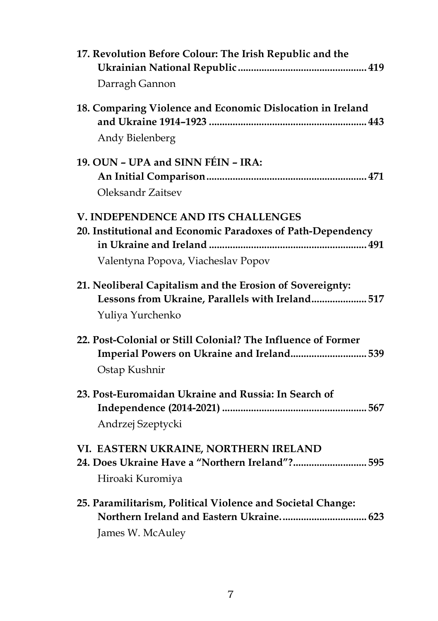| 17. Revolution Before Colour: The Irish Republic and the<br>Darragh Gannon                                                              |
|-----------------------------------------------------------------------------------------------------------------------------------------|
| 18. Comparing Violence and Economic Dislocation in Ireland                                                                              |
| Andy Bielenberg                                                                                                                         |
| 19. OUN - UPA and SINN FÉIN - IRA:                                                                                                      |
|                                                                                                                                         |
| Oleksandr Zaitsev                                                                                                                       |
| V. INDEPENDENCE AND ITS CHALLENGES<br>20. Institutional and Economic Paradoxes of Path-Dependency<br>Valentyna Popova, Viacheslav Popov |
| 21. Neoliberal Capitalism and the Erosion of Sovereignty:<br>Lessons from Ukraine, Parallels with Ireland 517<br>Yuliya Yurchenko       |
| 22. Post-Colonial or Still Colonial? The Influence of Former<br>Imperial Powers on Ukraine and Ireland 539<br>Ostap Kushnir             |
| 23. Post-Euromaidan Ukraine and Russia: In Search of<br>Andrzej Szeptycki                                                               |
| VI. EASTERN UKRAINE, NORTHERN IRELAND<br>24. Does Ukraine Have a "Northern Ireland"? 595<br>Hiroaki Kuromiya                            |
| 25. Paramilitarism, Political Violence and Societal Change:<br>Northern Ireland and Eastern Ukraine 623<br>James W. McAuley             |